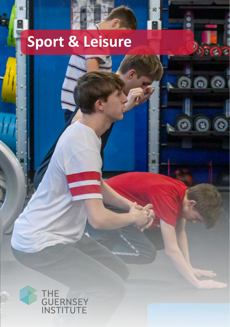# **Sport & Leisure**

M

החדר

 $\circ$   $\circ$ 

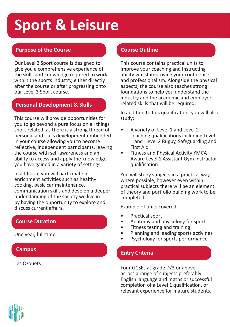# **Sport & Leisure**

# **Purpose of the Course**

Our Level 2 Sport course is designed to give you a comprehensive experience of the skills and knowledge required to work within the sports industry, either directly after the course or after progressing onto our Level 3 Sport course.

## **Personal Development & Skills**

This course will provide opportunities for you to go beyond a pure focus on all things sport-related, as there is a strong thread of personal and skills development embedded in your course allowing you to become reflective, independent participants, leaving the course with self-awareness and an ability to access and apply the knowledge you have gained in a variety of settings.

In addition, you will participate in enrichment activities such as healthy cooking, basic car maintenance, communication skills and develop a deeper understanding of the society we live in by having the opportunity to explore and discuss current affairs.

# **Course Duration**

One year, full-time

### Les Ozouets

# **Course Outline**

This course contains practical units to improve your coaching and instructing ability whilst improving your confidence and professionalism. Alongside the physical aspects, the course also teaches strong foundations to help you understand the industry and the academic and employer related skills that will be required.

In addition to this qualification, you will also study:

- A variety of Level 1 and Level 2 coaching qualifications including Level 1 and Level 2 Rugby, Safeguarding and First Aid
- Fitness and Physical Activity YMCA Award Level 1 Assistant Gym Instructor qualification

You will study subjects in a practical way where possible, however even within practical subjects there will be an element of theory and portfolio building work to be completed.

Example of units covered:

- Practical sport
- Anatomy and physiology for sport
- Fitness testing and training
- Planning and leading sports activities
- Psychology for sports performance

# **Campus Entry Criteria**

Four GCSEs at grade D/3 or above, across a range of subjects preferably English language and maths or successful completion of a Level 1 qualification, or relevant experience for mature students.

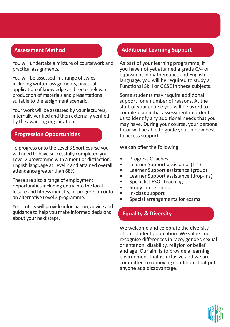# **Assessment Method**

You will undertake a mixture of coursework and practical assignments.

You will be assessed in a range of styles including written assignments, practical application of knowledge and sector relevant production of materials and presentations suitable to the assignment scenario.

Your work will be assessed by your lecturers, internally verified and then externally verified by the awarding organisation.

# **Progression Opportunities**

To progress onto the Level 3 Sport course you will need to have successfully completed your Level 2 programme with a merit or distinction, English language at Level 2 and attained overall attendance greater than 88%.

There are also a range of employment opportunities including entry into the local leisure and fitness industry, or progression onto an alternative Level 3 programme.

Your tutors will provide information, advice and guidance to help you make informed decisions about your next steps.

## **Additional Learning Support**

As part of your learning programme, if you have not yet attained a grade C/4 or equivalent in mathematics and English language, you will be required to study a Functional Skill or GCSE in these subjects.

Some students may require additional support for a number of reasons. At the start of your course you will be asked to complete an initial assessment in order for us to identify any additional needs that you may have. During your course, your personal tutor will be able to guide you on how best to access support.

We can offer the following:

- Progress Coaches
- Learner Support assistance (1:1)
- Learner Support assistance (group)
- Learner Support assistance (drop-ins)
- Specialist ESOL teaching
- Study lab sessions
- In-class support
- Special arrangements for exams

# **Equality & Diversity**

We welcome and celebrate the diversity of our student population. We value and recognise differences in race, gender, sexual orientation, disability, religion or belief and age. Our aim is to provide a learning environment that is inclusive and we are committed to removing conditions that put anyone at a disadvantage.